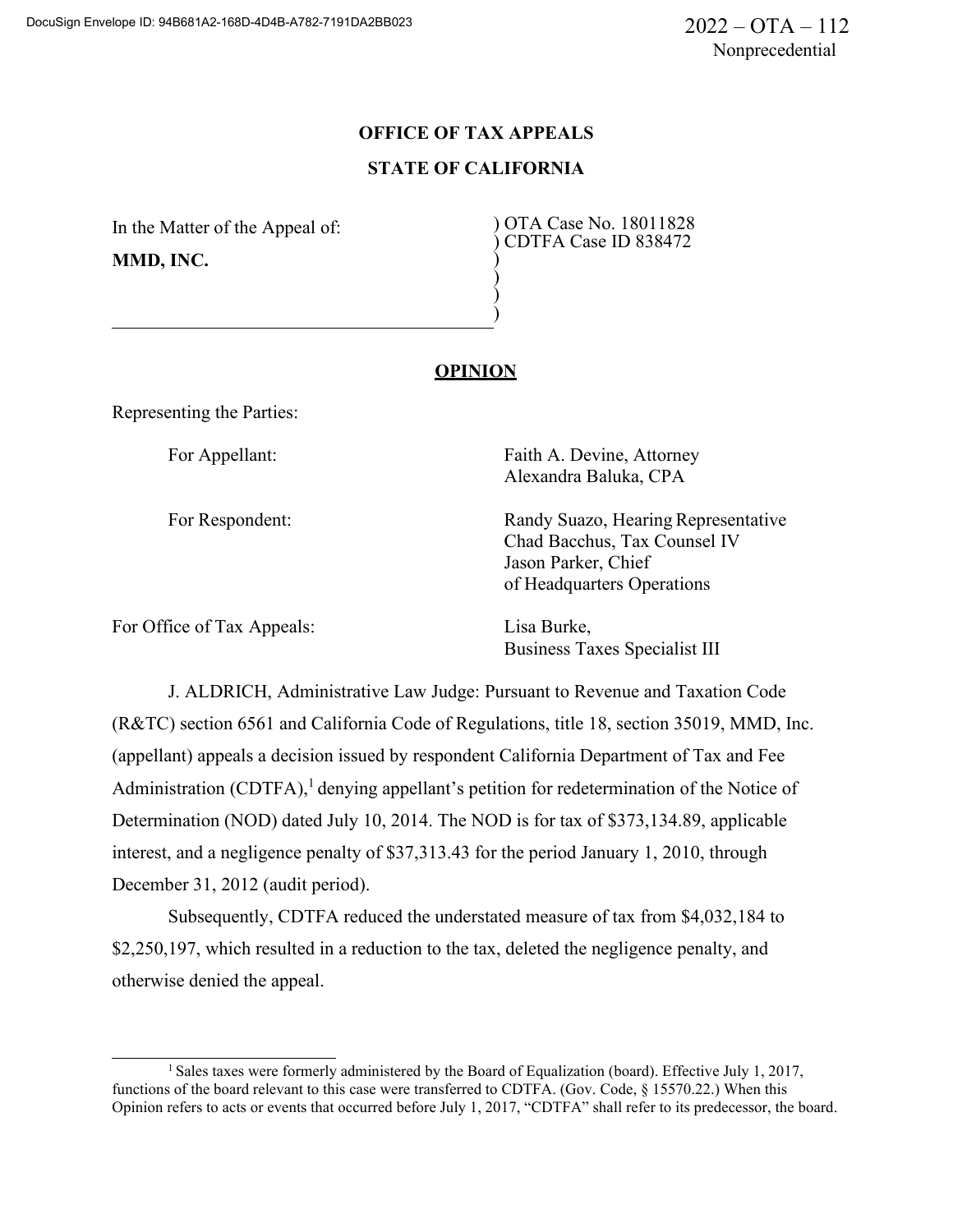# **OFFICE OF TAX APPEALS STATE OF CALIFORNIA**

) ) ) )

In the Matter of the Appeal of: **MMD, INC.**

) OTA Case No. 18011828 ) CDTFA Case ID 838472

## **OPINION**

Representing the Parties:

For Appellant: For Appellant: Faith A. Devine, Attorney Alexandra Baluka, CPA

For Respondent: Randy Suazo, Hearing Representative Chad Bacchus, Tax Counsel IV Jason Parker, Chief of Headquarters Operations

For Office of Tax Appeals: Lisa Burke,

Business Taxes Specialist III

J. ALDRICH, Administrative Law Judge: Pursuant to Revenue and Taxation Code (R&TC) section 6561 and California Code of Regulations, title 18, section 35019, MMD, Inc. (appellant) appeals a decision issued by respondent California Department of Tax and Fee Administration (CDTFA),<sup>1</sup> denying appellant's petition for redetermination of the Notice of Determination (NOD) dated July 10, 2014. The NOD is for tax of \$373,134.89, applicable interest, and a negligence penalty of \$37,313.43 for the period January 1, 2010, through December 31, 2012 (audit period).

Subsequently, CDTFA reduced the understated measure of tax from \$4,032,184 to \$2,250,197, which resulted in a reduction to the tax, deleted the negligence penalty, and otherwise denied the appeal.

<sup>1</sup> Sales taxes were formerly administered by the Board of Equalization (board). Effective July 1, 2017, functions of the board relevant to this case were transferred to CDTFA. (Gov. Code, § 15570.22.) When this Opinion refers to acts or events that occurred before July 1, 2017, "CDTFA" shall refer to its predecessor, the board.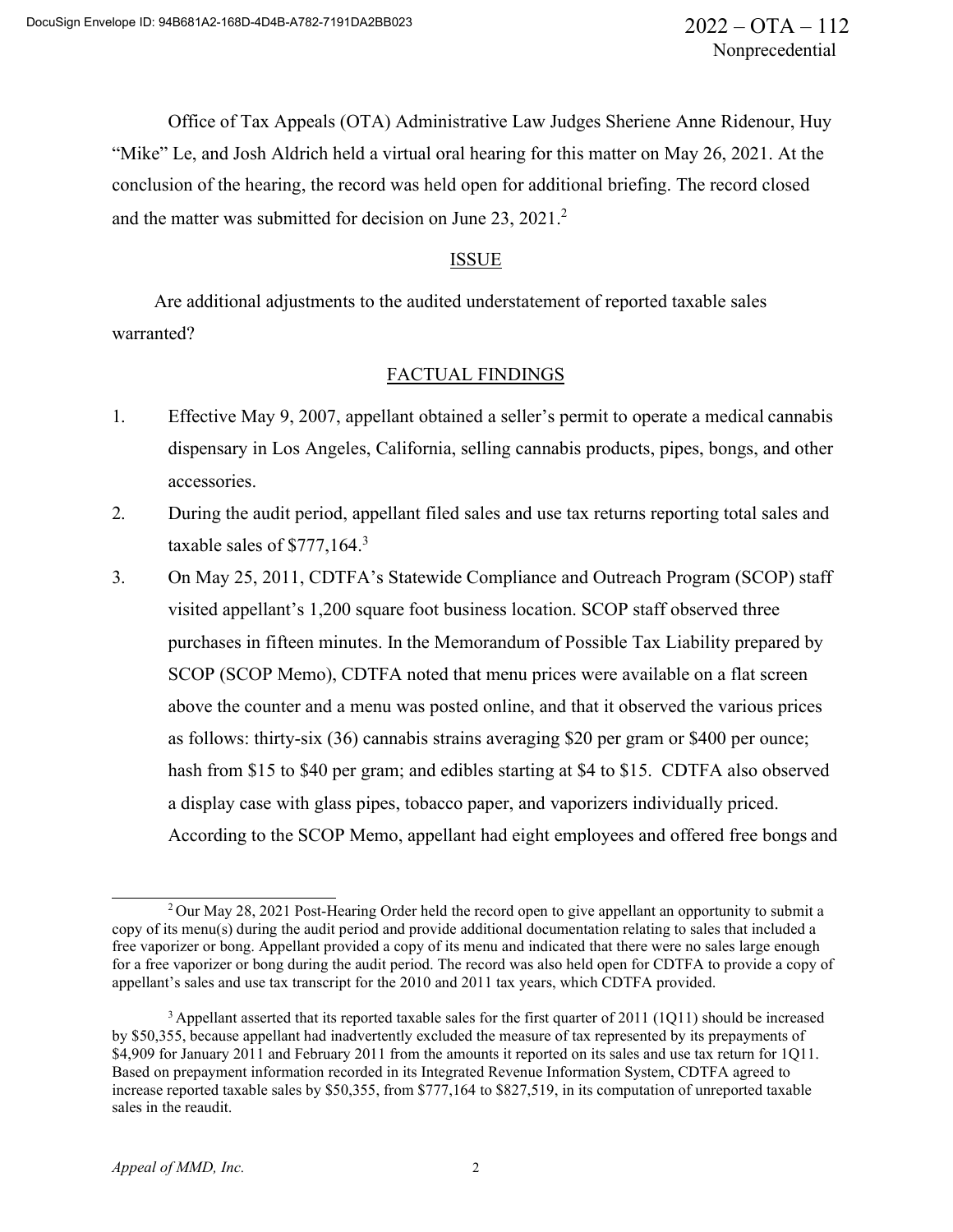Office of Tax Appeals (OTA) Administrative Law Judges Sheriene Anne Ridenour, Huy "Mike" Le, and Josh Aldrich held a virtual oral hearing for this matter on May 26, 2021. At the conclusion of the hearing, the record was held open for additional briefing. The record closed and the matter was submitted for decision on June 23, 2021.<sup>2</sup>

## ISSUE

Are additional adjustments to the audited understatement of reported taxable sales warranted?

## FACTUAL FINDINGS

- 1. Effective May 9, 2007, appellant obtained a seller's permit to operate a medical cannabis dispensary in Los Angeles, California, selling cannabis products, pipes, bongs, and other accessories.
- 2. During the audit period, appellant filed sales and use tax returns reporting total sales and taxable sales of  $$777,164.<sup>3</sup>$
- 3. On May 25, 2011, CDTFA's Statewide Compliance and Outreach Program (SCOP) staff visited appellant's 1,200 square foot business location. SCOP staff observed three purchases in fifteen minutes. In the Memorandum of Possible Tax Liability prepared by SCOP (SCOP Memo), CDTFA noted that menu prices were available on a flat screen above the counter and a menu was posted online, and that it observed the various prices as follows: thirty-six (36) cannabis strains averaging \$20 per gram or \$400 per ounce; hash from \$15 to \$40 per gram; and edibles starting at \$4 to \$15. CDTFA also observed a display case with glass pipes, tobacco paper, and vaporizers individually priced. According to the SCOP Memo, appellant had eight employees and offered free bongs and

<sup>2</sup> Our May 28, 2021 Post-Hearing Order held the record open to give appellant an opportunity to submit a copy of its menu(s) during the audit period and provide additional documentation relating to sales that included a free vaporizer or bong. Appellant provided a copy of its menu and indicated that there were no sales large enough for a free vaporizer or bong during the audit period. The record was also held open for CDTFA to provide a copy of appellant's sales and use tax transcript for the 2010 and 2011 tax years, which CDTFA provided.

<sup>&</sup>lt;sup>3</sup> Appellant asserted that its reported taxable sales for the first quarter of 2011 (1Q11) should be increased by \$50,355, because appellant had inadvertently excluded the measure of tax represented by its prepayments of \$4,909 for January 2011 and February 2011 from the amounts it reported on its sales and use tax return for 1Q11. Based on prepayment information recorded in its Integrated Revenue Information System, CDTFA agreed to increase reported taxable sales by \$50,355, from \$777,164 to \$827,519, in its computation of unreported taxable sales in the reaudit.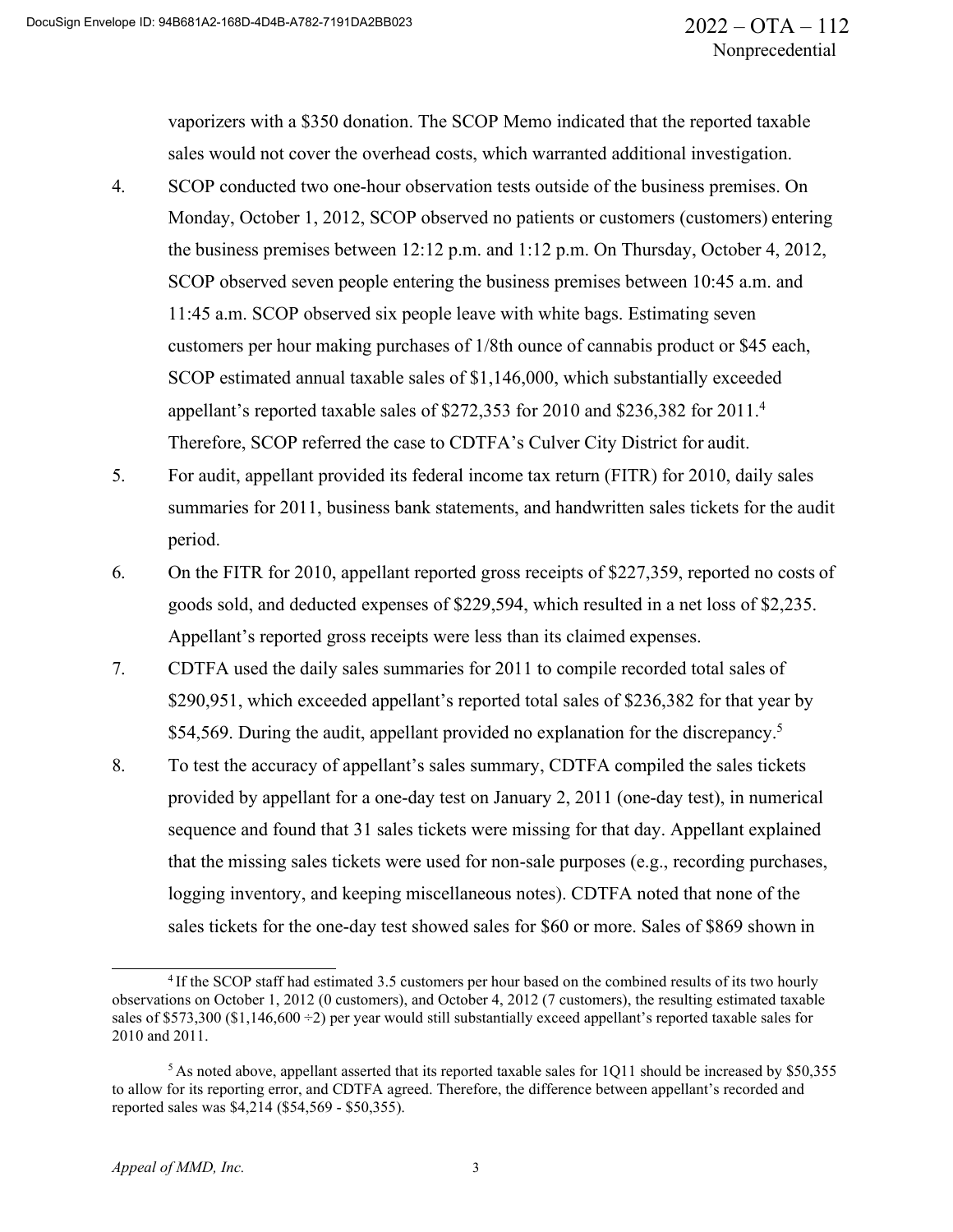vaporizers with a \$350 donation. The SCOP Memo indicated that the reported taxable sales would not cover the overhead costs, which warranted additional investigation.

- 4. SCOP conducted two one-hour observation tests outside of the business premises. On Monday, October 1, 2012, SCOP observed no patients or customers (customers) entering the business premises between 12:12 p.m. and 1:12 p.m. On Thursday, October 4, 2012, SCOP observed seven people entering the business premises between 10:45 a.m. and 11:45 a.m. SCOP observed six people leave with white bags. Estimating seven customers per hour making purchases of 1/8th ounce of cannabis product or \$45 each, SCOP estimated annual taxable sales of \$1,146,000, which substantially exceeded appellant's reported taxable sales of \$272,353 for 2010 and \$236,382 for 2011.<sup>4</sup> Therefore, SCOP referred the case to CDTFA's Culver City District for audit.
- 5. For audit, appellant provided its federal income tax return (FITR) for 2010, daily sales summaries for 2011, business bank statements, and handwritten sales tickets for the audit period.
- 6. On the FITR for 2010, appellant reported gross receipts of \$227,359, reported no costs of goods sold, and deducted expenses of \$229,594, which resulted in a net loss of \$2,235. Appellant's reported gross receipts were less than its claimed expenses.
- 7. CDTFA used the daily sales summaries for 2011 to compile recorded total sales of \$290,951, which exceeded appellant's reported total sales of \$236,382 for that year by \$54,569. During the audit, appellant provided no explanation for the discrepancy.<sup>5</sup>
- 8. To test the accuracy of appellant's sales summary, CDTFA compiled the sales tickets provided by appellant for a one-day test on January 2, 2011 (one-day test), in numerical sequence and found that 31 sales tickets were missing for that day. Appellant explained that the missing sales tickets were used for non-sale purposes (e.g., recording purchases, logging inventory, and keeping miscellaneous notes). CDTFA noted that none of the sales tickets for the one-day test showed sales for \$60 or more. Sales of \$869 shown in

<sup>4</sup> If the SCOP staff had estimated 3.5 customers per hour based on the combined results of its two hourly observations on October 1, 2012 (0 customers), and October 4, 2012 (7 customers), the resulting estimated taxable sales of \$573,300 (\$1,146,600 ÷2) per year would still substantially exceed appellant's reported taxable sales for 2010 and 2011.

<sup>5</sup> As noted above, appellant asserted that its reported taxable sales for 1Q11 should be increased by \$50,355 to allow for its reporting error, and CDTFA agreed. Therefore, the difference between appellant's recorded and reported sales was \$4,214 (\$54,569 - \$50,355).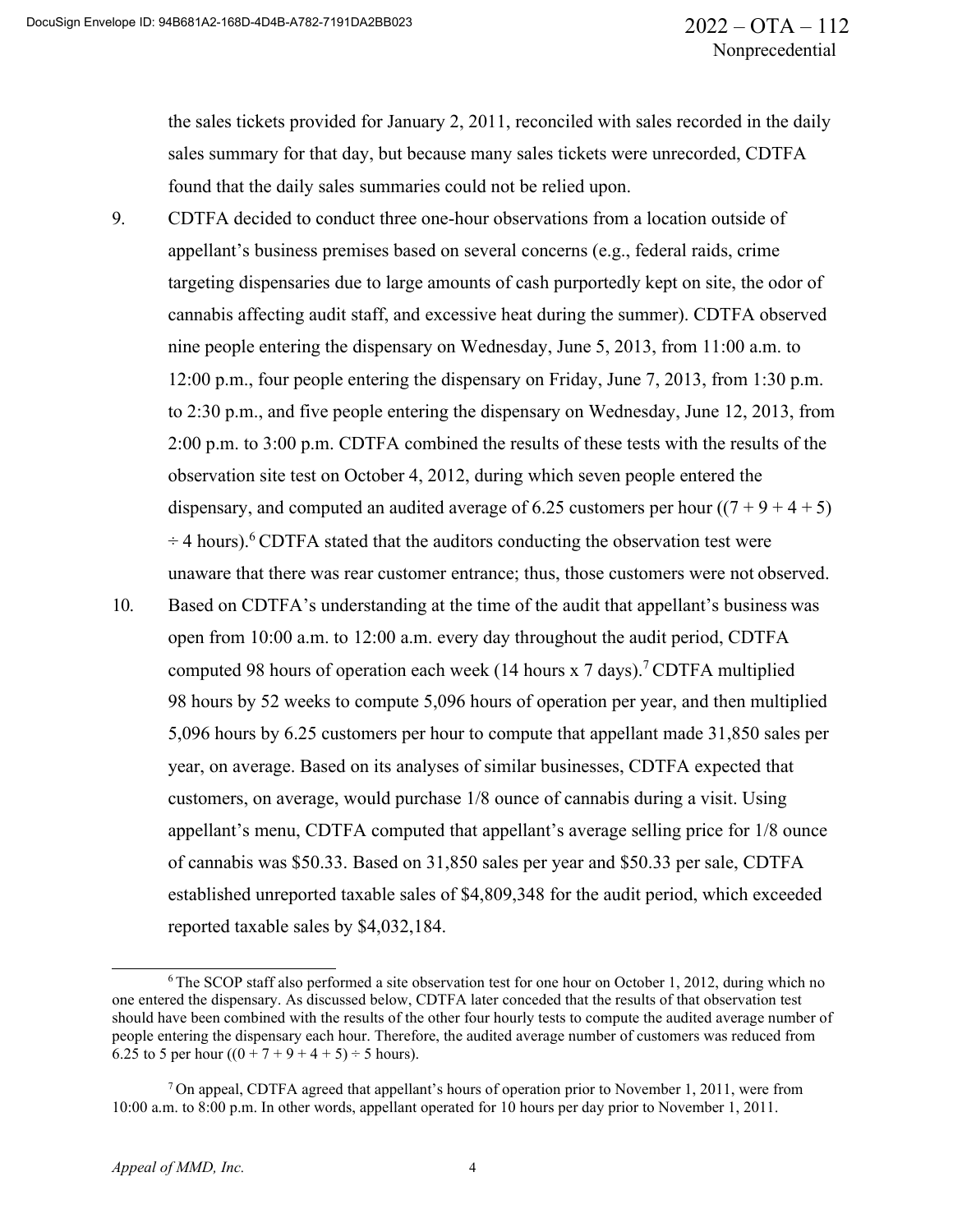the sales tickets provided for January 2, 2011, reconciled with sales recorded in the daily sales summary for that day, but because many sales tickets were unrecorded, CDTFA found that the daily sales summaries could not be relied upon.

- 9. CDTFA decided to conduct three one-hour observations from a location outside of appellant's business premises based on several concerns (e.g., federal raids, crime targeting dispensaries due to large amounts of cash purportedly kept on site, the odor of cannabis affecting audit staff, and excessive heat during the summer). CDTFA observed nine people entering the dispensary on Wednesday, June 5, 2013, from 11:00 a.m. to 12:00 p.m., four people entering the dispensary on Friday, June 7, 2013, from 1:30 p.m. to 2:30 p.m., and five people entering the dispensary on Wednesday, June 12, 2013, from 2:00 p.m. to 3:00 p.m. CDTFA combined the results of these tests with the results of the observation site test on October 4, 2012, during which seven people entered the dispensary, and computed an audited average of 6.25 customers per hour  $((7 + 9 + 4 + 5))$  $\div$  4 hours).<sup>6</sup> CDTFA stated that the auditors conducting the observation test were unaware that there was rear customer entrance; thus, those customers were not observed.
- 10. Based on CDTFA's understanding at the time of the audit that appellant's business was open from 10:00 a.m. to 12:00 a.m. every day throughout the audit period, CDTFA computed 98 hours of operation each week (14 hours x 7 days).<sup>7</sup> CDTFA multiplied 98 hours by 52 weeks to compute 5,096 hours of operation per year, and then multiplied 5,096 hours by 6.25 customers per hour to compute that appellant made 31,850 sales per year, on average. Based on its analyses of similar businesses, CDTFA expected that customers, on average, would purchase 1/8 ounce of cannabis during a visit. Using appellant's menu, CDTFA computed that appellant's average selling price for 1/8 ounce of cannabis was \$50.33. Based on 31,850 sales per year and \$50.33 per sale, CDTFA established unreported taxable sales of \$4,809,348 for the audit period, which exceeded reported taxable sales by \$4,032,184.

<sup>&</sup>lt;sup>6</sup> The SCOP staff also performed a site observation test for one hour on October 1, 2012, during which no one entered the dispensary. As discussed below, CDTFA later conceded that the results of that observation test should have been combined with the results of the other four hourly tests to compute the audited average number of people entering the dispensary each hour. Therefore, the audited average number of customers was reduced from 6.25 to 5 per hour  $((0 + 7 + 9 + 4 + 5) \div 5$  hours).

 $7$  On appeal, CDTFA agreed that appellant's hours of operation prior to November 1, 2011, were from 10:00 a.m. to 8:00 p.m. In other words, appellant operated for 10 hours per day prior to November 1, 2011.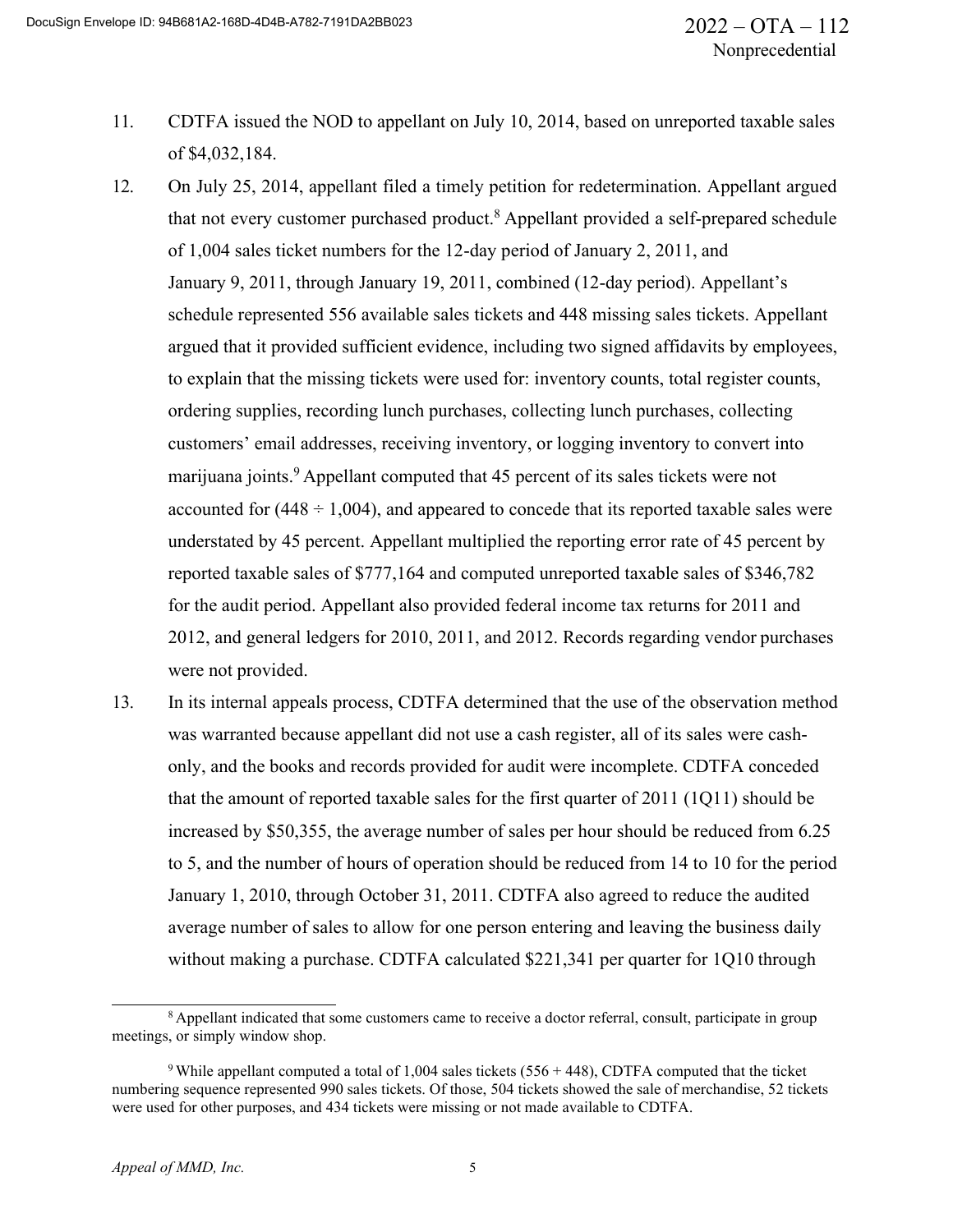- 11. CDTFA issued the NOD to appellant on July 10, 2014, based on unreported taxable sales of \$4,032,184.
- 12. On July 25, 2014, appellant filed a timely petition for redetermination. Appellant argued that not every customer purchased product.<sup>8</sup> Appellant provided a self-prepared schedule of 1,004 sales ticket numbers for the 12-day period of January 2, 2011, and January 9, 2011, through January 19, 2011, combined (12-day period). Appellant's schedule represented 556 available sales tickets and 448 missing sales tickets. Appellant argued that it provided sufficient evidence, including two signed affidavits by employees, to explain that the missing tickets were used for: inventory counts, total register counts, ordering supplies, recording lunch purchases, collecting lunch purchases, collecting customers' email addresses, receiving inventory, or logging inventory to convert into marijuana joints.<sup>9</sup> Appellant computed that 45 percent of its sales tickets were not accounted for  $(448 \div 1,004)$ , and appeared to concede that its reported taxable sales were understated by 45 percent. Appellant multiplied the reporting error rate of 45 percent by reported taxable sales of \$777,164 and computed unreported taxable sales of \$346,782 for the audit period. Appellant also provided federal income tax returns for 2011 and 2012, and general ledgers for 2010, 2011, and 2012. Records regarding vendor purchases were not provided.
- 13. In its internal appeals process, CDTFA determined that the use of the observation method was warranted because appellant did not use a cash register, all of its sales were cashonly, and the books and records provided for audit were incomplete. CDTFA conceded that the amount of reported taxable sales for the first quarter of 2011 (1Q11) should be increased by \$50,355, the average number of sales per hour should be reduced from 6.25 to 5, and the number of hours of operation should be reduced from 14 to 10 for the period January 1, 2010, through October 31, 2011. CDTFA also agreed to reduce the audited average number of sales to allow for one person entering and leaving the business daily without making a purchase. CDTFA calculated \$221,341 per quarter for 1Q10 through

<sup>&</sup>lt;sup>8</sup> Appellant indicated that some customers came to receive a doctor referral, consult, participate in group meetings, or simply window shop.

<sup>&</sup>lt;sup>9</sup> While appellant computed a total of 1,004 sales tickets (556 + 448), CDTFA computed that the ticket numbering sequence represented 990 sales tickets. Of those, 504 tickets showed the sale of merchandise, 52 tickets were used for other purposes, and 434 tickets were missing or not made available to CDTFA.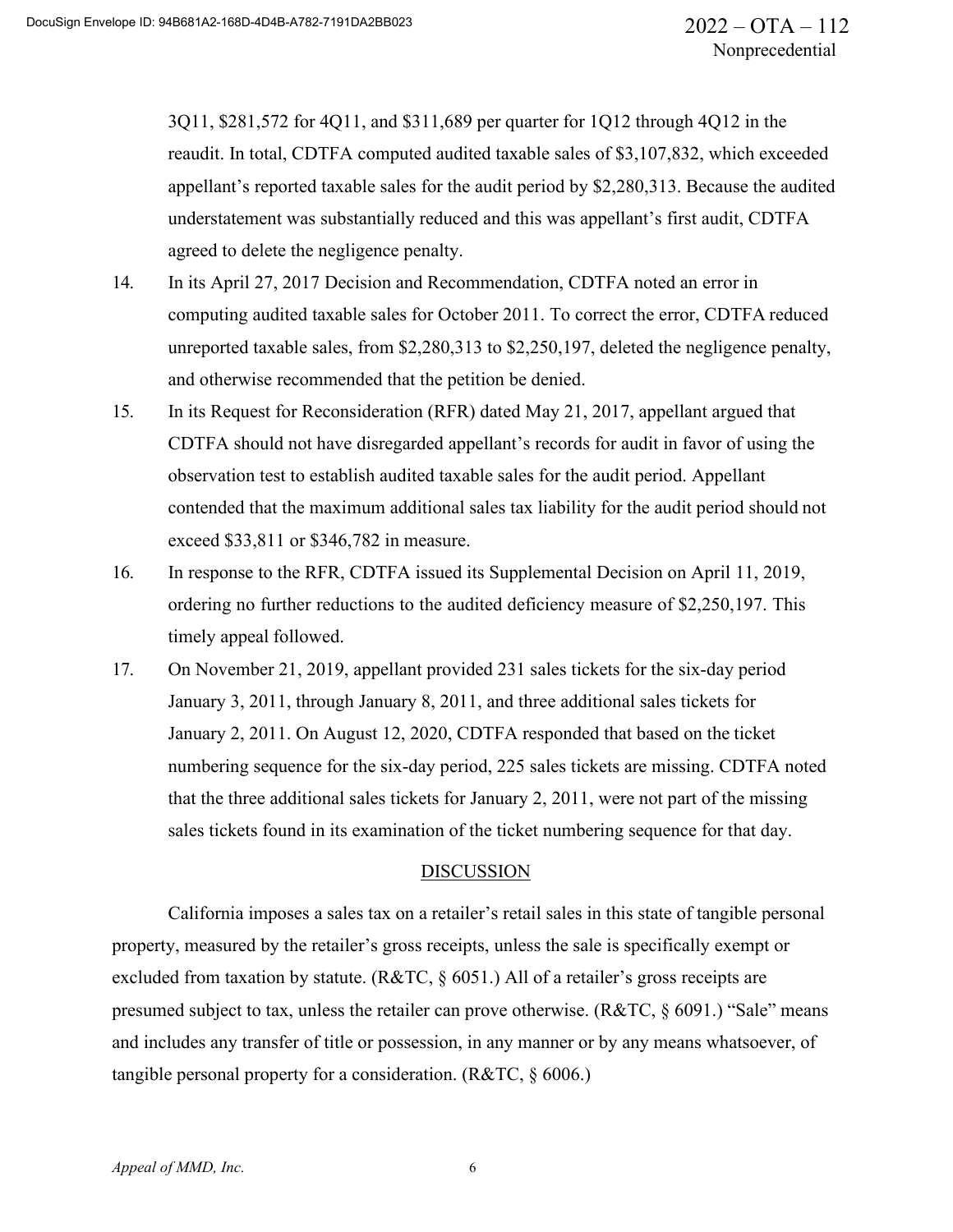3Q11, \$281,572 for 4Q11, and \$311,689 per quarter for 1Q12 through 4Q12 in the reaudit. In total, CDTFA computed audited taxable sales of \$3,107,832, which exceeded appellant's reported taxable sales for the audit period by \$2,280,313. Because the audited understatement was substantially reduced and this was appellant's first audit, CDTFA agreed to delete the negligence penalty.

- 14. In its April 27, 2017 Decision and Recommendation, CDTFA noted an error in computing audited taxable sales for October 2011. To correct the error, CDTFA reduced unreported taxable sales, from \$2,280,313 to \$2,250,197, deleted the negligence penalty, and otherwise recommended that the petition be denied.
- 15. In its Request for Reconsideration (RFR) dated May 21, 2017, appellant argued that CDTFA should not have disregarded appellant's records for audit in favor of using the observation test to establish audited taxable sales for the audit period. Appellant contended that the maximum additional sales tax liability for the audit period should not exceed \$33,811 or \$346,782 in measure.
- 16. In response to the RFR, CDTFA issued its Supplemental Decision on April 11, 2019, ordering no further reductions to the audited deficiency measure of \$2,250,197. This timely appeal followed.
- 17. On November 21, 2019, appellant provided 231 sales tickets for the six-day period January 3, 2011, through January 8, 2011, and three additional sales tickets for January 2, 2011. On August 12, 2020, CDTFA responded that based on the ticket numbering sequence for the six-day period, 225 sales tickets are missing. CDTFA noted that the three additional sales tickets for January 2, 2011, were not part of the missing sales tickets found in its examination of the ticket numbering sequence for that day.

#### DISCUSSION

California imposes a sales tax on a retailer's retail sales in this state of tangible personal property, measured by the retailer's gross receipts, unless the sale is specifically exempt or excluded from taxation by statute. (R&TC, § 6051.) All of a retailer's gross receipts are presumed subject to tax, unless the retailer can prove otherwise. (R&TC, § 6091.) "Sale" means and includes any transfer of title or possession, in any manner or by any means whatsoever, of tangible personal property for a consideration. (R&TC, § 6006.)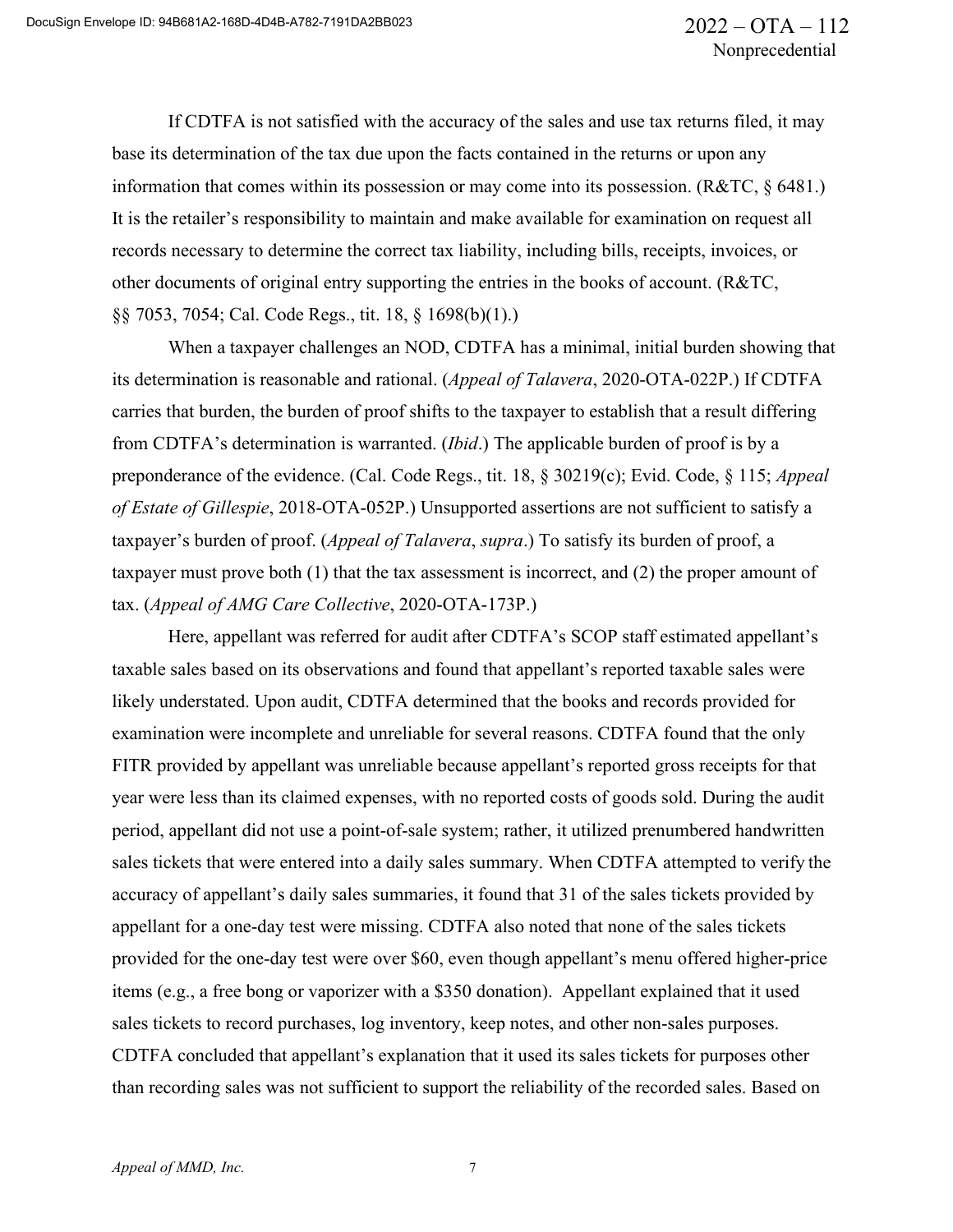If CDTFA is not satisfied with the accuracy of the sales and use tax returns filed, it may base its determination of the tax due upon the facts contained in the returns or upon any information that comes within its possession or may come into its possession. (R&TC, § 6481.) It is the retailer's responsibility to maintain and make available for examination on request all records necessary to determine the correct tax liability, including bills, receipts, invoices, or other documents of original entry supporting the entries in the books of account. (R&TC, §§ 7053, 7054; Cal. Code Regs., tit. 18, § 1698(b)(1).)

When a taxpayer challenges an NOD, CDTFA has a minimal, initial burden showing that its determination is reasonable and rational. (*Appeal of Talavera*, 2020-OTA-022P.) If CDTFA carries that burden, the burden of proof shifts to the taxpayer to establish that a result differing from CDTFA's determination is warranted. (*Ibid*.) The applicable burden of proof is by a preponderance of the evidence. (Cal. Code Regs., tit. 18, § 30219(c); Evid. Code, § 115; *Appeal of Estate of Gillespie*, 2018-OTA-052P.) Unsupported assertions are not sufficient to satisfy a taxpayer's burden of proof. (*Appeal of Talavera*, *supra*.) To satisfy its burden of proof, a taxpayer must prove both (1) that the tax assessment is incorrect, and (2) the proper amount of tax. (*Appeal of AMG Care Collective*, 2020-OTA-173P.)

Here, appellant was referred for audit after CDTFA's SCOP staff estimated appellant's taxable sales based on its observations and found that appellant's reported taxable sales were likely understated. Upon audit, CDTFA determined that the books and records provided for examination were incomplete and unreliable for several reasons. CDTFA found that the only FITR provided by appellant was unreliable because appellant's reported gross receipts for that year were less than its claimed expenses, with no reported costs of goods sold. During the audit period, appellant did not use a point-of-sale system; rather, it utilized prenumbered handwritten sales tickets that were entered into a daily sales summary. When CDTFA attempted to verify the accuracy of appellant's daily sales summaries, it found that 31 of the sales tickets provided by appellant for a one-day test were missing. CDTFA also noted that none of the sales tickets provided for the one-day test were over \$60, even though appellant's menu offered higher-price items (e.g., a free bong or vaporizer with a \$350 donation). Appellant explained that it used sales tickets to record purchases, log inventory, keep notes, and other non-sales purposes. CDTFA concluded that appellant's explanation that it used its sales tickets for purposes other than recording sales was not sufficient to support the reliability of the recorded sales. Based on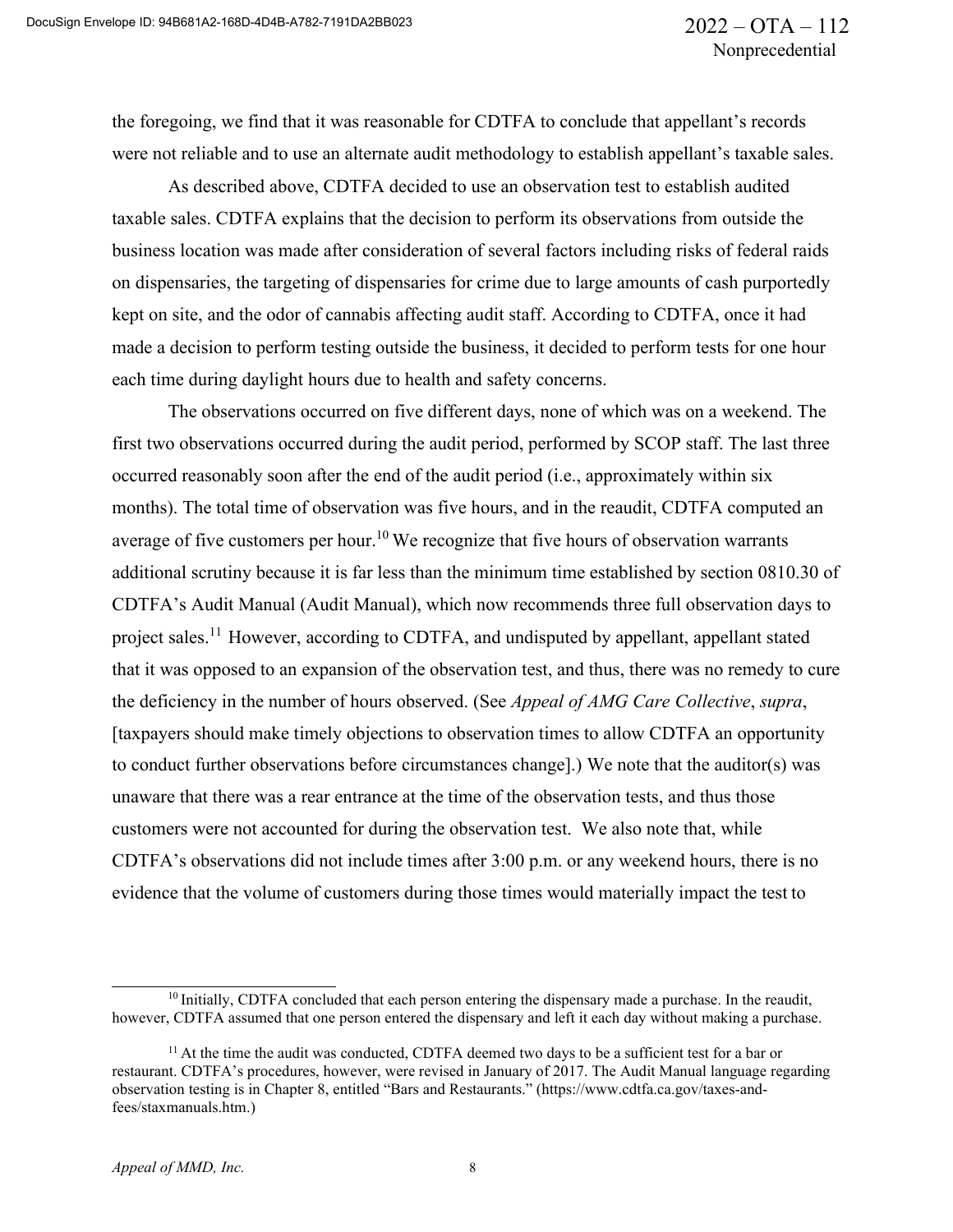the foregoing, we find that it was reasonable for CDTFA to conclude that appellant's records were not reliable and to use an alternate audit methodology to establish appellant's taxable sales.

As described above, CDTFA decided to use an observation test to establish audited taxable sales. CDTFA explains that the decision to perform its observations from outside the business location was made after consideration of several factors including risks of federal raids on dispensaries, the targeting of dispensaries for crime due to large amounts of cash purportedly kept on site, and the odor of cannabis affecting audit staff. According to CDTFA, once it had made a decision to perform testing outside the business, it decided to perform tests for one hour each time during daylight hours due to health and safety concerns.

The observations occurred on five different days, none of which was on a weekend. The first two observations occurred during the audit period, performed by SCOP staff. The last three occurred reasonably soon after the end of the audit period (i.e., approximately within six months). The total time of observation was five hours, and in the reaudit, CDTFA computed an average of five customers per hour.<sup>10</sup> We recognize that five hours of observation warrants additional scrutiny because it is far less than the minimum time established by section 0810.30 of CDTFA's Audit Manual (Audit Manual), which now recommends three full observation days to project sales.<sup>11</sup> However, according to CDTFA, and undisputed by appellant, appellant stated that it was opposed to an expansion of the observation test, and thus, there was no remedy to cure the deficiency in the number of hours observed. (See *Appeal of AMG Care Collective*, *supra*, [taxpayers should make timely objections to observation times to allow CDTFA an opportunity to conduct further observations before circumstances change].) We note that the auditor(s) was unaware that there was a rear entrance at the time of the observation tests, and thus those customers were not accounted for during the observation test. We also note that, while CDTFA's observations did not include times after 3:00 p.m. or any weekend hours, there is no evidence that the volume of customers during those times would materially impact the test to

<sup>&</sup>lt;sup>10</sup> Initially, CDTFA concluded that each person entering the dispensary made a purchase. In the reaudit, however, CDTFA assumed that one person entered the dispensary and left it each day without making a purchase.

<sup>&</sup>lt;sup>11</sup> At the time the audit was conducted, CDTFA deemed two days to be a sufficient test for a bar or restaurant. CDTFA's procedures, however, were revised in January of 2017. The Audit Manual language regarding observation testing is in Chapter 8, entitled "Bars and Restaurants." (https:/[/www.cdtfa.ca.gov/taxes-and](http://www.cdtfa.ca.gov/taxes-and-)fees/staxmanuals.htm.)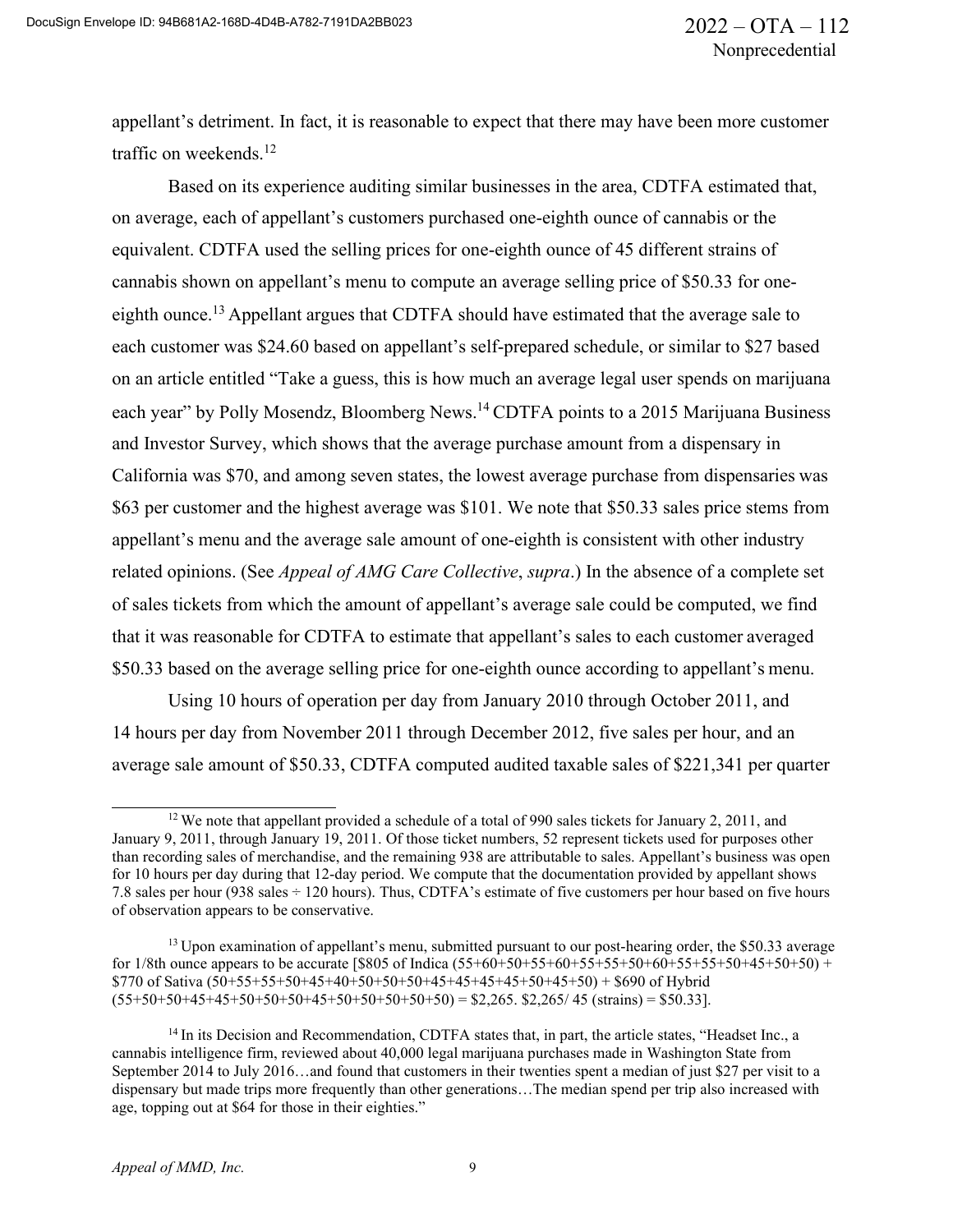appellant's detriment. In fact, it is reasonable to expect that there may have been more customer traffic on weekends.<sup>12</sup>

Based on its experience auditing similar businesses in the area, CDTFA estimated that, on average, each of appellant's customers purchased one-eighth ounce of cannabis or the equivalent. CDTFA used the selling prices for one-eighth ounce of 45 different strains of cannabis shown on appellant's menu to compute an average selling price of \$50.33 for oneeighth ounce.<sup>13</sup> Appellant argues that CDTFA should have estimated that the average sale to each customer was \$24.60 based on appellant's self-prepared schedule, or similar to \$27 based on an article entitled "Take a guess, this is how much an average legal user spends on marijuana each year" by Polly Mosendz, Bloomberg News.<sup>14</sup> CDTFA points to a 2015 Marijuana Business and Investor Survey, which shows that the average purchase amount from a dispensary in California was \$70, and among seven states, the lowest average purchase from dispensaries was \$63 per customer and the highest average was \$101. We note that \$50.33 sales price stems from appellant's menu and the average sale amount of one-eighth is consistent with other industry related opinions. (See *Appeal of AMG Care Collective*, *supra*.) In the absence of a complete set of sales tickets from which the amount of appellant's average sale could be computed, we find that it was reasonable for CDTFA to estimate that appellant's sales to each customer averaged \$50.33 based on the average selling price for one-eighth ounce according to appellant's menu.

Using 10 hours of operation per day from January 2010 through October 2011, and 14 hours per day from November 2011 through December 2012, five sales per hour, and an average sale amount of \$50.33, CDTFA computed audited taxable sales of \$221,341 per quarter

<sup>&</sup>lt;sup>12</sup> We note that appellant provided a schedule of a total of 990 sales tickets for January 2, 2011, and January 9, 2011, through January 19, 2011. Of those ticket numbers, 52 represent tickets used for purposes other than recording sales of merchandise, and the remaining 938 are attributable to sales. Appellant's business was open for 10 hours per day during that 12-day period. We compute that the documentation provided by appellant shows 7.8 sales per hour (938 sales ÷ 120 hours). Thus, CDTFA's estimate of five customers per hour based on five hours of observation appears to be conservative.

 $<sup>13</sup>$  Upon examination of appellant's menu, submitted pursuant to our post-hearing order, the \$50.33 average</sup> for 1/8th ounce appears to be accurate [\$805 of Indica  $(55+60+50+55+60+55+55+50+60+55+55+50+45+50+50)$  +  $$770$  of Sativa  $(50+55+55+50+45+40+50+50+50+45+45+45+50+45+50) + $690$  of Hybrid  $(55+50+50+45+45+50+50+50+45+50+50+50+50+50) = $2,265.$  \$2,265/45 (strains) = \$50.33].

<sup>&</sup>lt;sup>14</sup> In its Decision and Recommendation, CDTFA states that, in part, the article states, "Headset Inc., a cannabis intelligence firm, reviewed about 40,000 legal marijuana purchases made in Washington State from September 2014 to July 2016…and found that customers in their twenties spent a median of just \$27 per visit to a dispensary but made trips more frequently than other generations…The median spend per trip also increased with age, topping out at \$64 for those in their eighties."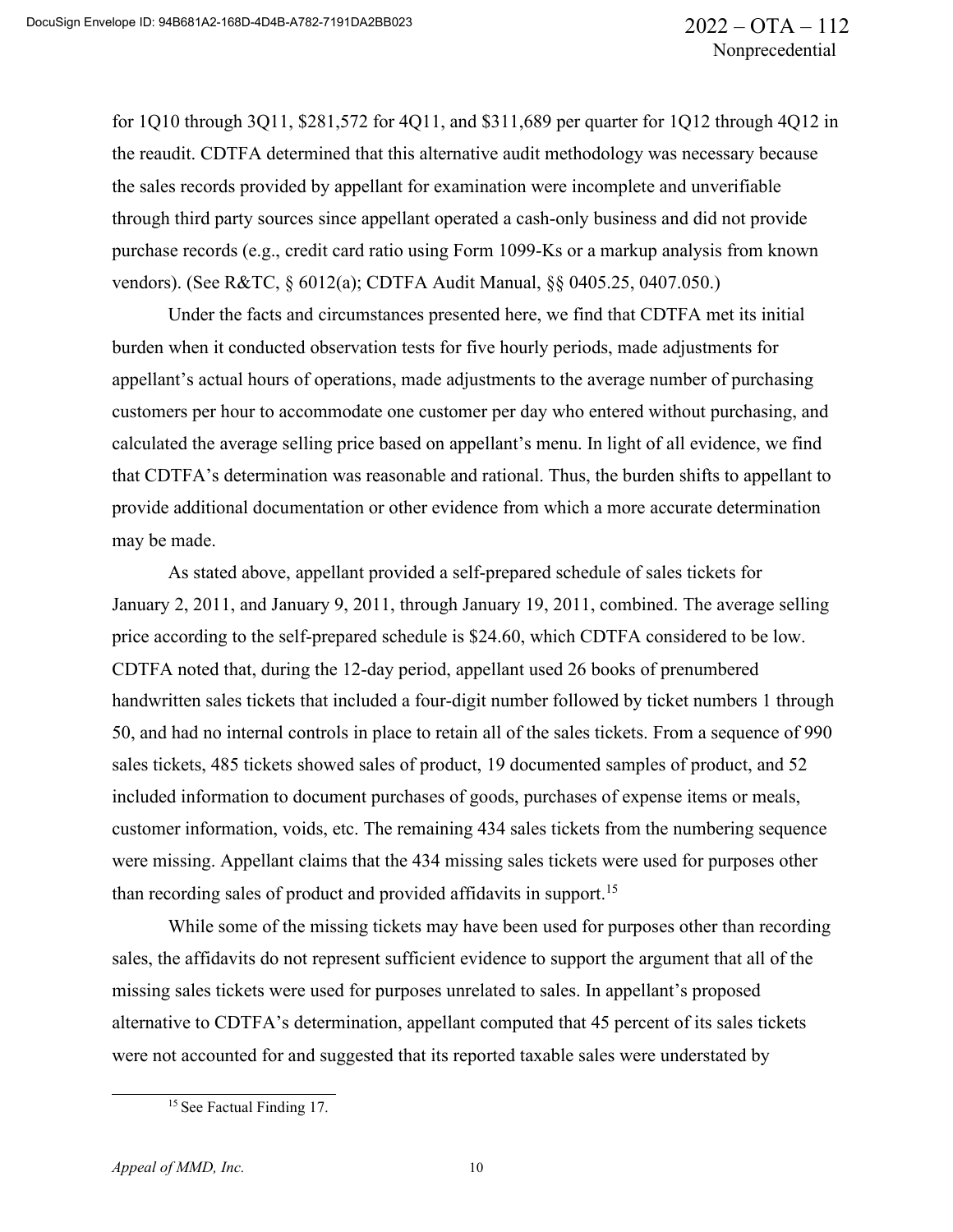for 1Q10 through 3Q11, \$281,572 for 4Q11, and \$311,689 per quarter for 1Q12 through 4Q12 in the reaudit. CDTFA determined that this alternative audit methodology was necessary because the sales records provided by appellant for examination were incomplete and unverifiable through third party sources since appellant operated a cash-only business and did not provide purchase records (e.g., credit card ratio using Form 1099-Ks or a markup analysis from known vendors). (See R&TC, § 6012(a); CDTFA Audit Manual, §§ 0405.25, 0407.050.)

Under the facts and circumstances presented here, we find that CDTFA met its initial burden when it conducted observation tests for five hourly periods, made adjustments for appellant's actual hours of operations, made adjustments to the average number of purchasing customers per hour to accommodate one customer per day who entered without purchasing, and calculated the average selling price based on appellant's menu. In light of all evidence, we find that CDTFA's determination was reasonable and rational. Thus, the burden shifts to appellant to provide additional documentation or other evidence from which a more accurate determination may be made.

As stated above, appellant provided a self-prepared schedule of sales tickets for January 2, 2011, and January 9, 2011, through January 19, 2011, combined. The average selling price according to the self-prepared schedule is \$24.60, which CDTFA considered to be low. CDTFA noted that, during the 12-day period, appellant used 26 books of prenumbered handwritten sales tickets that included a four-digit number followed by ticket numbers 1 through 50, and had no internal controls in place to retain all of the sales tickets. From a sequence of 990 sales tickets, 485 tickets showed sales of product, 19 documented samples of product, and 52 included information to document purchases of goods, purchases of expense items or meals, customer information, voids, etc. The remaining 434 sales tickets from the numbering sequence were missing. Appellant claims that the 434 missing sales tickets were used for purposes other than recording sales of product and provided affidavits in support.15

While some of the missing tickets may have been used for purposes other than recording sales, the affidavits do not represent sufficient evidence to support the argument that all of the missing sales tickets were used for purposes unrelated to sales. In appellant's proposed alternative to CDTFA's determination, appellant computed that 45 percent of its sales tickets were not accounted for and suggested that its reported taxable sales were understated by

<sup>&</sup>lt;sup>15</sup> See Factual Finding 17.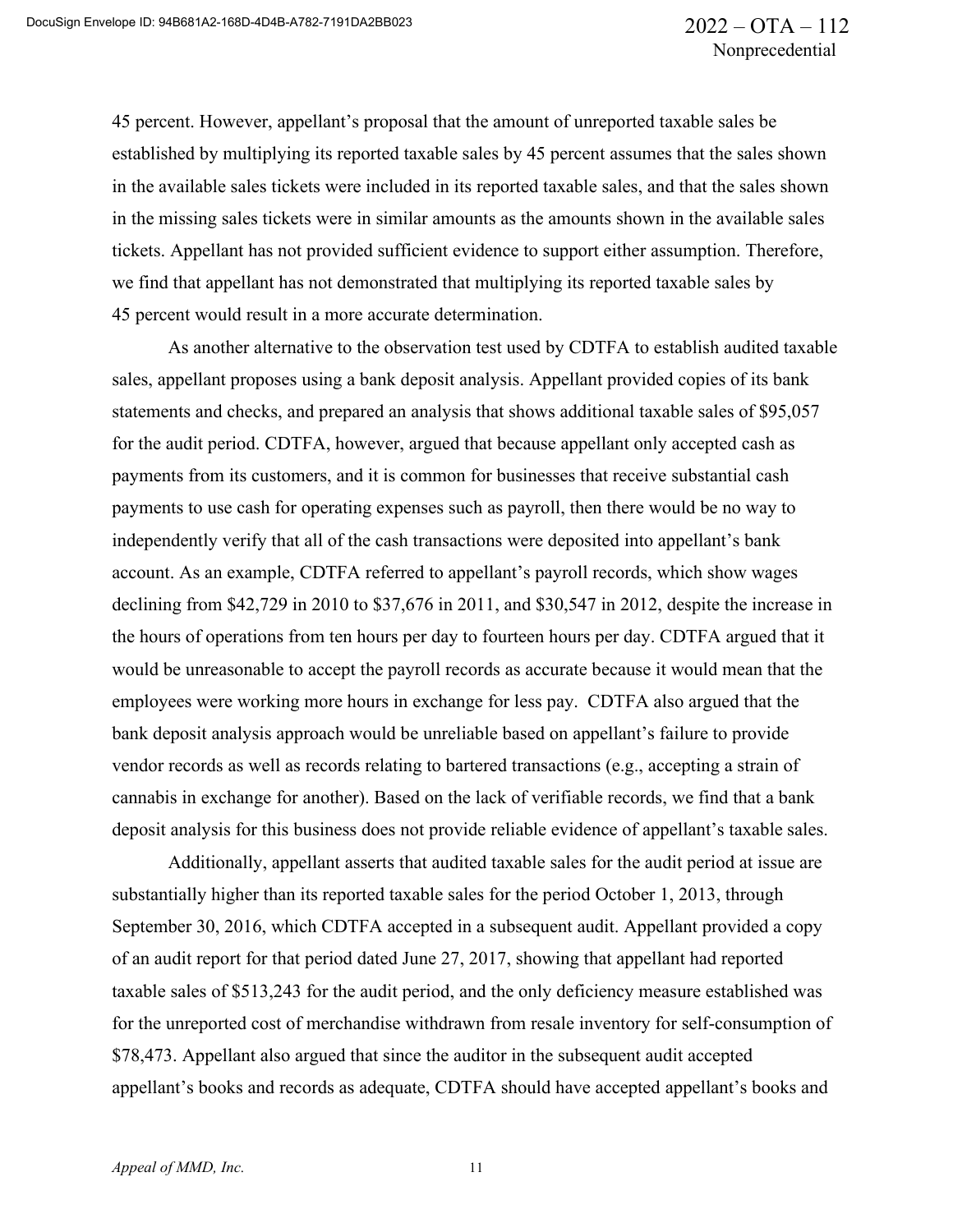45 percent. However, appellant's proposal that the amount of unreported taxable sales be established by multiplying its reported taxable sales by 45 percent assumes that the sales shown in the available sales tickets were included in its reported taxable sales, and that the sales shown in the missing sales tickets were in similar amounts as the amounts shown in the available sales tickets. Appellant has not provided sufficient evidence to support either assumption. Therefore, we find that appellant has not demonstrated that multiplying its reported taxable sales by 45 percent would result in a more accurate determination.

As another alternative to the observation test used by CDTFA to establish audited taxable sales, appellant proposes using a bank deposit analysis. Appellant provided copies of its bank statements and checks, and prepared an analysis that shows additional taxable sales of \$95,057 for the audit period. CDTFA, however, argued that because appellant only accepted cash as payments from its customers, and it is common for businesses that receive substantial cash payments to use cash for operating expenses such as payroll, then there would be no way to independently verify that all of the cash transactions were deposited into appellant's bank account. As an example, CDTFA referred to appellant's payroll records, which show wages declining from \$42,729 in 2010 to \$37,676 in 2011, and \$30,547 in 2012, despite the increase in the hours of operations from ten hours per day to fourteen hours per day. CDTFA argued that it would be unreasonable to accept the payroll records as accurate because it would mean that the employees were working more hours in exchange for less pay. CDTFA also argued that the bank deposit analysis approach would be unreliable based on appellant's failure to provide vendor records as well as records relating to bartered transactions (e.g., accepting a strain of cannabis in exchange for another). Based on the lack of verifiable records, we find that a bank deposit analysis for this business does not provide reliable evidence of appellant's taxable sales.

Additionally, appellant asserts that audited taxable sales for the audit period at issue are substantially higher than its reported taxable sales for the period October 1, 2013, through September 30, 2016, which CDTFA accepted in a subsequent audit. Appellant provided a copy of an audit report for that period dated June 27, 2017, showing that appellant had reported taxable sales of \$513,243 for the audit period, and the only deficiency measure established was for the unreported cost of merchandise withdrawn from resale inventory for self-consumption of \$78,473. Appellant also argued that since the auditor in the subsequent audit accepted appellant's books and records as adequate, CDTFA should have accepted appellant's books and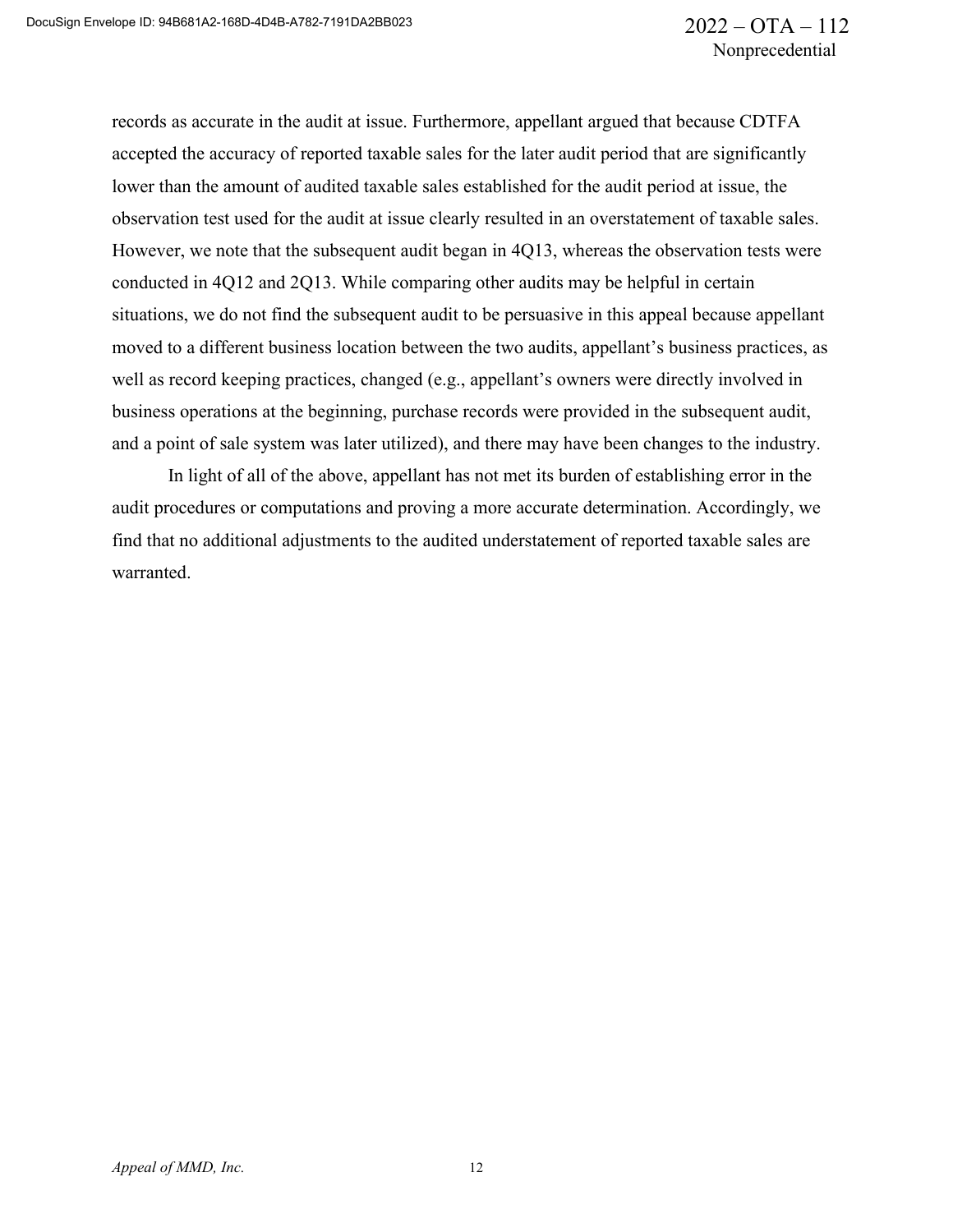records as accurate in the audit at issue. Furthermore, appellant argued that because CDTFA accepted the accuracy of reported taxable sales for the later audit period that are significantly lower than the amount of audited taxable sales established for the audit period at issue, the observation test used for the audit at issue clearly resulted in an overstatement of taxable sales. However, we note that the subsequent audit began in 4Q13, whereas the observation tests were conducted in 4Q12 and 2Q13. While comparing other audits may be helpful in certain situations, we do not find the subsequent audit to be persuasive in this appeal because appellant moved to a different business location between the two audits, appellant's business practices, as well as record keeping practices, changed (e.g., appellant's owners were directly involved in business operations at the beginning, purchase records were provided in the subsequent audit, and a point of sale system was later utilized), and there may have been changes to the industry.

In light of all of the above, appellant has not met its burden of establishing error in the audit procedures or computations and proving a more accurate determination. Accordingly, we find that no additional adjustments to the audited understatement of reported taxable sales are warranted.